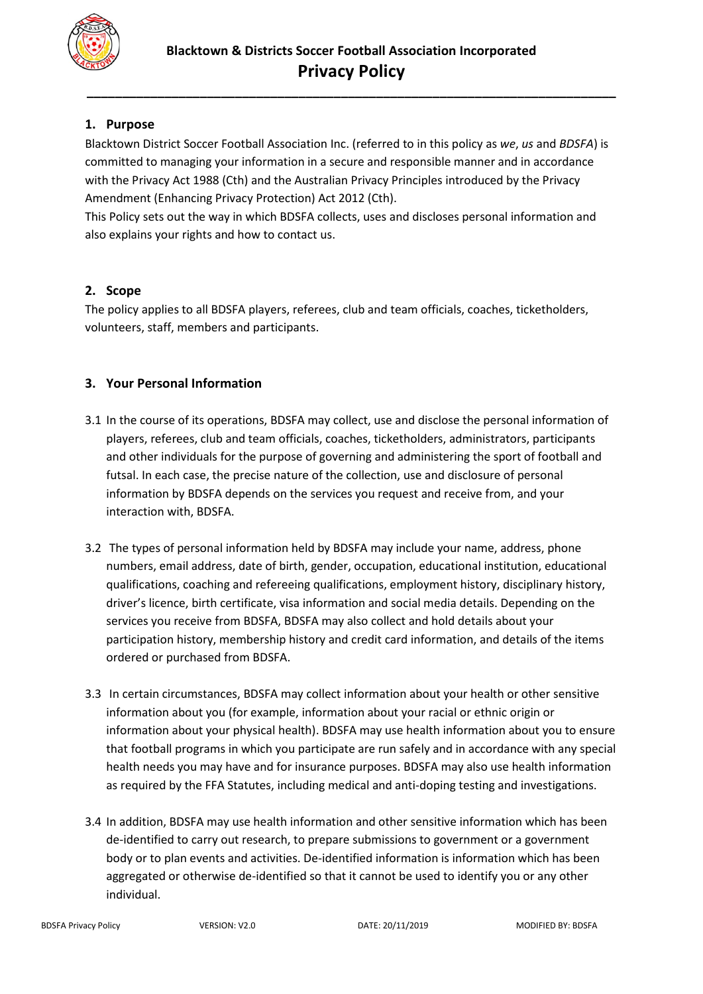

# **1. Purpose**

Blacktown District Soccer Football Association Inc. (referred to in this policy as *we*, *us* and *BDSFA*) is committed to managing your information in a secure and responsible manner and in accordance with the Privacy Act 1988 (Cth) and the Australian Privacy Principles introduced by the Privacy Amendment (Enhancing Privacy Protection) Act 2012 (Cth).

This Policy sets out the way in which BDSFA collects, uses and discloses personal information and also explains your rights and how to contact us.

### **2. Scope**

The policy applies to all BDSFA players, referees, club and team officials, coaches, ticketholders, volunteers, staff, members and participants.

# **3. Your Personal Information**

- 3.1 In the course of its operations, BDSFA may collect, use and disclose the personal information of players, referees, club and team officials, coaches, ticketholders, administrators, participants and other individuals for the purpose of governing and administering the sport of football and futsal. In each case, the precise nature of the collection, use and disclosure of personal information by BDSFA depends on the services you request and receive from, and your interaction with, BDSFA.
- 3.2 The types of personal information held by BDSFA may include your name, address, phone numbers, email address, date of birth, gender, occupation, educational institution, educational qualifications, coaching and refereeing qualifications, employment history, disciplinary history, driver's licence, birth certificate, visa information and social media details. Depending on the services you receive from BDSFA, BDSFA may also collect and hold details about your participation history, membership history and credit card information, and details of the items ordered or purchased from BDSFA.
- 3.3 In certain circumstances, BDSFA may collect information about your health or other sensitive information about you (for example, information about your racial or ethnic origin or information about your physical health). BDSFA may use health information about you to ensure that football programs in which you participate are run safely and in accordance with any special health needs you may have and for insurance purposes. BDSFA may also use health information as required by the FFA Statutes, including medical and anti-doping testing and investigations.
- 3.4 In addition, BDSFA may use health information and other sensitive information which has been de-identified to carry out research, to prepare submissions to government or a government body or to plan events and activities. De-identified information is information which has been aggregated or otherwise de-identified so that it cannot be used to identify you or any other individual.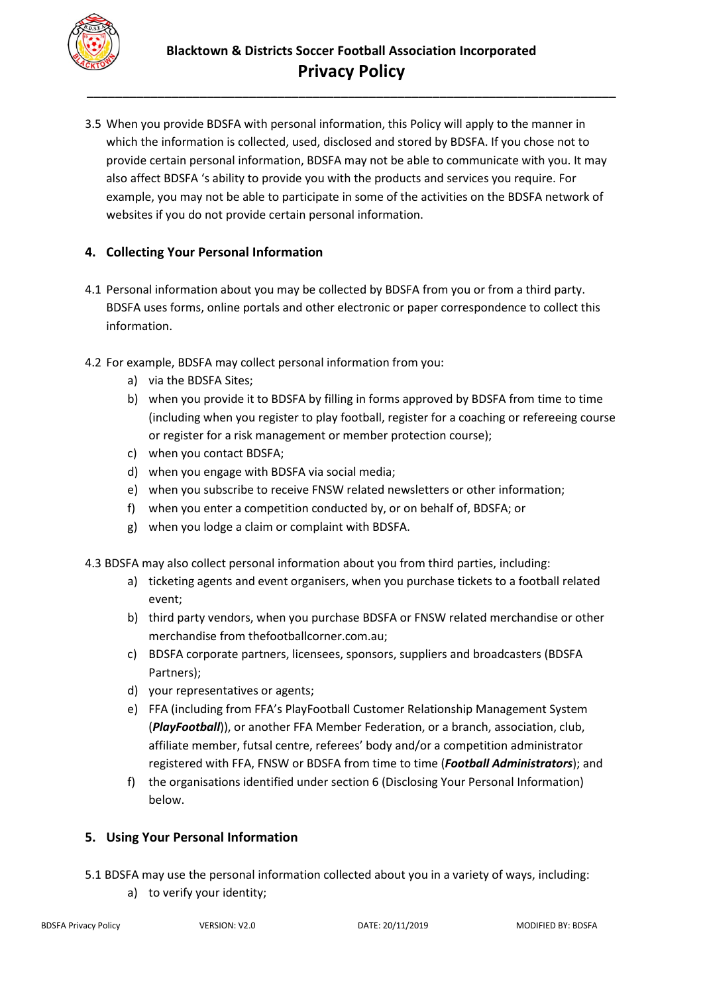

3.5 When you provide BDSFA with personal information, this Policy will apply to the manner in which the information is collected, used, disclosed and stored by BDSFA. If you chose not to provide certain personal information, BDSFA may not be able to communicate with you. It may also affect BDSFA 's ability to provide you with the products and services you require. For example, you may not be able to participate in some of the activities on the BDSFA network of websites if you do not provide certain personal information.

### **4. Collecting Your Personal Information**

- 4.1 Personal information about you may be collected by BDSFA from you or from a third party. BDSFA uses forms, online portals and other electronic or paper correspondence to collect this information.
- 4.2 For example, BDSFA may collect personal information from you:
	- a) via the BDSFA Sites;
	- b) when you provide it to BDSFA by filling in forms approved by BDSFA from time to time (including when you register to play football, register for a coaching or refereeing course or register for a risk management or member protection course);
	- c) when you contact BDSFA;
	- d) when you engage with BDSFA via social media;
	- e) when you subscribe to receive FNSW related newsletters or other information;
	- f) when you enter a competition conducted by, or on behalf of, BDSFA; or
	- g) when you lodge a claim or complaint with BDSFA.
- 4.3 BDSFA may also collect personal information about you from third parties, including:
	- a) ticketing agents and event organisers, when you purchase tickets to a football related event;
	- b) third party vendors, when you purchase BDSFA or FNSW related merchandise or other merchandise from thefootballcorner.com.au;
	- c) BDSFA corporate partners, licensees, sponsors, suppliers and broadcasters (BDSFA Partners);
	- d) your representatives or agents;
	- e) FFA (including from FFA's PlayFootball Customer Relationship Management System (*PlayFootball*)), or another FFA Member Federation, or a branch, association, club, affiliate member, futsal centre, referees' body and/or a competition administrator registered with FFA, FNSW or BDSFA from time to time (*Football Administrators*); and
	- f) the organisations identified under section 6 (Disclosing Your Personal Information) below.

### **5. Using Your Personal Information**

- 5.1 BDSFA may use the personal information collected about you in a variety of ways, including:
	- a) to verify your identity;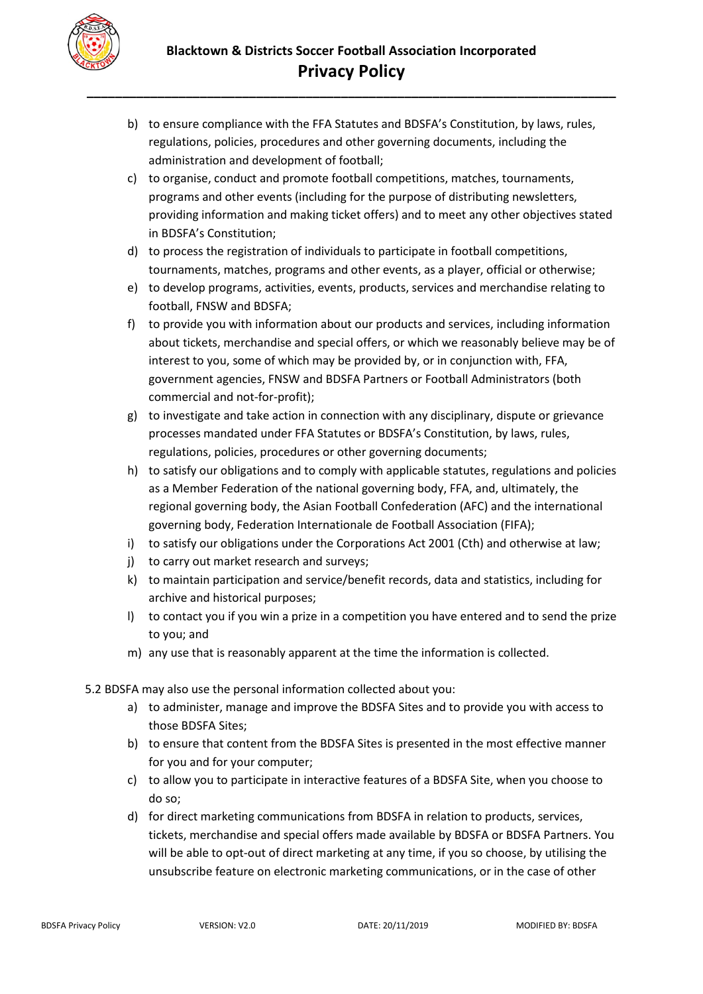

- b) to ensure compliance with the FFA Statutes and BDSFA's Constitution, by laws, rules, regulations, policies, procedures and other governing documents, including the administration and development of football;
- c) to organise, conduct and promote football competitions, matches, tournaments, programs and other events (including for the purpose of distributing newsletters, providing information and making ticket offers) and to meet any other objectives stated in BDSFA's Constitution;
- d) to process the registration of individuals to participate in football competitions, tournaments, matches, programs and other events, as a player, official or otherwise;
- e) to develop programs, activities, events, products, services and merchandise relating to football, FNSW and BDSFA;
- f) to provide you with information about our products and services, including information about tickets, merchandise and special offers, or which we reasonably believe may be of interest to you, some of which may be provided by, or in conjunction with, FFA, government agencies, FNSW and BDSFA Partners or Football Administrators (both commercial and not-for-profit);
- g) to investigate and take action in connection with any disciplinary, dispute or grievance processes mandated under FFA Statutes or BDSFA's Constitution, by laws, rules, regulations, policies, procedures or other governing documents;
- h) to satisfy our obligations and to comply with applicable statutes, regulations and policies as a Member Federation of the national governing body, FFA, and, ultimately, the regional governing body, the Asian Football Confederation (AFC) and the international governing body, Federation Internationale de Football Association (FIFA);
- i) to satisfy our obligations under the Corporations Act 2001 (Cth) and otherwise at law;
- j) to carry out market research and surveys;
- k) to maintain participation and service/benefit records, data and statistics, including for archive and historical purposes;
- l) to contact you if you win a prize in a competition you have entered and to send the prize to you; and
- m) any use that is reasonably apparent at the time the information is collected.
- 5.2 BDSFA may also use the personal information collected about you:
	- a) to administer, manage and improve the BDSFA Sites and to provide you with access to those BDSFA Sites;
	- b) to ensure that content from the BDSFA Sites is presented in the most effective manner for you and for your computer;
	- c) to allow you to participate in interactive features of a BDSFA Site, when you choose to do so;
	- d) for direct marketing communications from BDSFA in relation to products, services, tickets, merchandise and special offers made available by BDSFA or BDSFA Partners. You will be able to opt-out of direct marketing at any time, if you so choose, by utilising the unsubscribe feature on electronic marketing communications, or in the case of other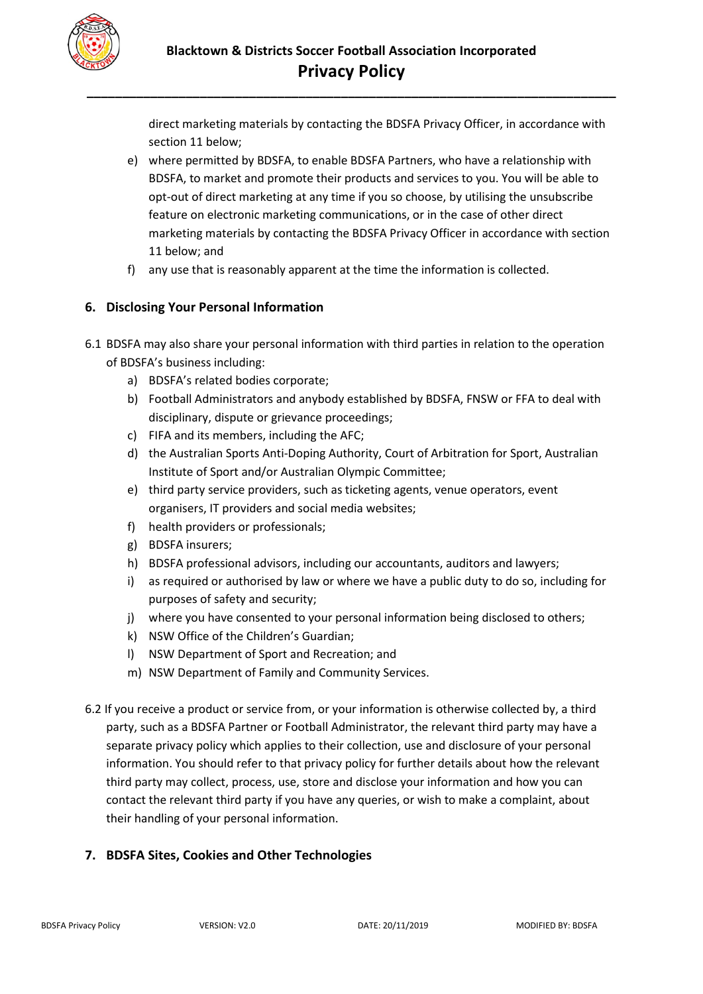

direct marketing materials by contacting the BDSFA Privacy Officer, in accordance with section 11 below;

- e) where permitted by BDSFA, to enable BDSFA Partners, who have a relationship with BDSFA, to market and promote their products and services to you. You will be able to opt-out of direct marketing at any time if you so choose, by utilising the unsubscribe feature on electronic marketing communications, or in the case of other direct marketing materials by contacting the BDSFA Privacy Officer in accordance with section 11 below; and
- f) any use that is reasonably apparent at the time the information is collected.

## **6. Disclosing Your Personal Information**

- 6.1 BDSFA may also share your personal information with third parties in relation to the operation of BDSFA's business including:
	- a) BDSFA's related bodies corporate;
	- b) Football Administrators and anybody established by BDSFA, FNSW or FFA to deal with disciplinary, dispute or grievance proceedings;
	- c) FIFA and its members, including the AFC;
	- d) the Australian Sports Anti-Doping Authority, Court of Arbitration for Sport, Australian Institute of Sport and/or Australian Olympic Committee;
	- e) third party service providers, such as ticketing agents, venue operators, event organisers, IT providers and social media websites;
	- f) health providers or professionals;
	- g) BDSFA insurers;
	- h) BDSFA professional advisors, including our accountants, auditors and lawyers;
	- i) as required or authorised by law or where we have a public duty to do so, including for purposes of safety and security;
	- j) where you have consented to your personal information being disclosed to others;
	- k) NSW Office of the Children's Guardian;
	- l) NSW Department of Sport and Recreation; and
	- m) NSW Department of Family and Community Services.
- 6.2 If you receive a product or service from, or your information is otherwise collected by, a third party, such as a BDSFA Partner or Football Administrator, the relevant third party may have a separate privacy policy which applies to their collection, use and disclosure of your personal information. You should refer to that privacy policy for further details about how the relevant third party may collect, process, use, store and disclose your information and how you can contact the relevant third party if you have any queries, or wish to make a complaint, about their handling of your personal information.

# **7. BDSFA Sites, Cookies and Other Technologies**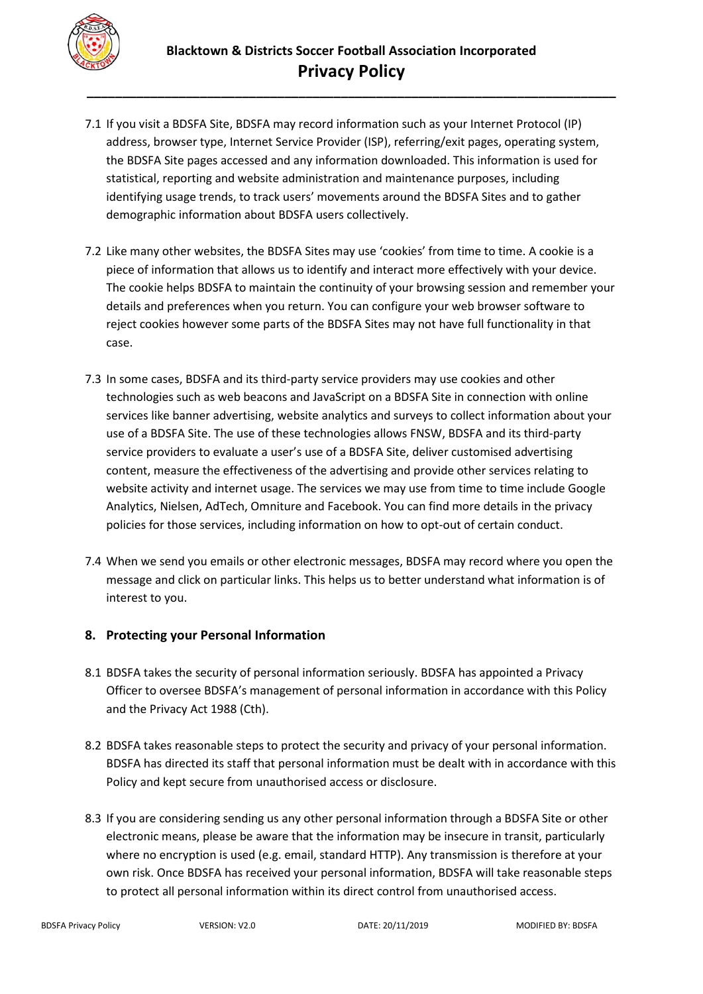

- 7.1 If you visit a BDSFA Site, BDSFA may record information such as your Internet Protocol (IP) address, browser type, Internet Service Provider (ISP), referring/exit pages, operating system, the BDSFA Site pages accessed and any information downloaded. This information is used for statistical, reporting and website administration and maintenance purposes, including identifying usage trends, to track users' movements around the BDSFA Sites and to gather demographic information about BDSFA users collectively.
- 7.2 Like many other websites, the BDSFA Sites may use 'cookies' from time to time. A cookie is a piece of information that allows us to identify and interact more effectively with your device. The cookie helps BDSFA to maintain the continuity of your browsing session and remember your details and preferences when you return. You can configure your web browser software to reject cookies however some parts of the BDSFA Sites may not have full functionality in that case.
- 7.3 In some cases, BDSFA and its third-party service providers may use cookies and other technologies such as web beacons and JavaScript on a BDSFA Site in connection with online services like banner advertising, website analytics and surveys to collect information about your use of a BDSFA Site. The use of these technologies allows FNSW, BDSFA and its third-party service providers to evaluate a user's use of a BDSFA Site, deliver customised advertising content, measure the effectiveness of the advertising and provide other services relating to website activity and internet usage. The services we may use from time to time include Google Analytics, Nielsen, AdTech, Omniture and Facebook. You can find more details in the privacy policies for those services, including information on how to opt-out of certain conduct.
- 7.4 When we send you emails or other electronic messages, BDSFA may record where you open the message and click on particular links. This helps us to better understand what information is of interest to you.

### **8. Protecting your Personal Information**

- 8.1 BDSFA takes the security of personal information seriously. BDSFA has appointed a Privacy Officer to oversee BDSFA's management of personal information in accordance with this Policy and the Privacy Act 1988 (Cth).
- 8.2 BDSFA takes reasonable steps to protect the security and privacy of your personal information. BDSFA has directed its staff that personal information must be dealt with in accordance with this Policy and kept secure from unauthorised access or disclosure.
- 8.3 If you are considering sending us any other personal information through a BDSFA Site or other electronic means, please be aware that the information may be insecure in transit, particularly where no encryption is used (e.g. email, standard HTTP). Any transmission is therefore at your own risk. Once BDSFA has received your personal information, BDSFA will take reasonable steps to protect all personal information within its direct control from unauthorised access.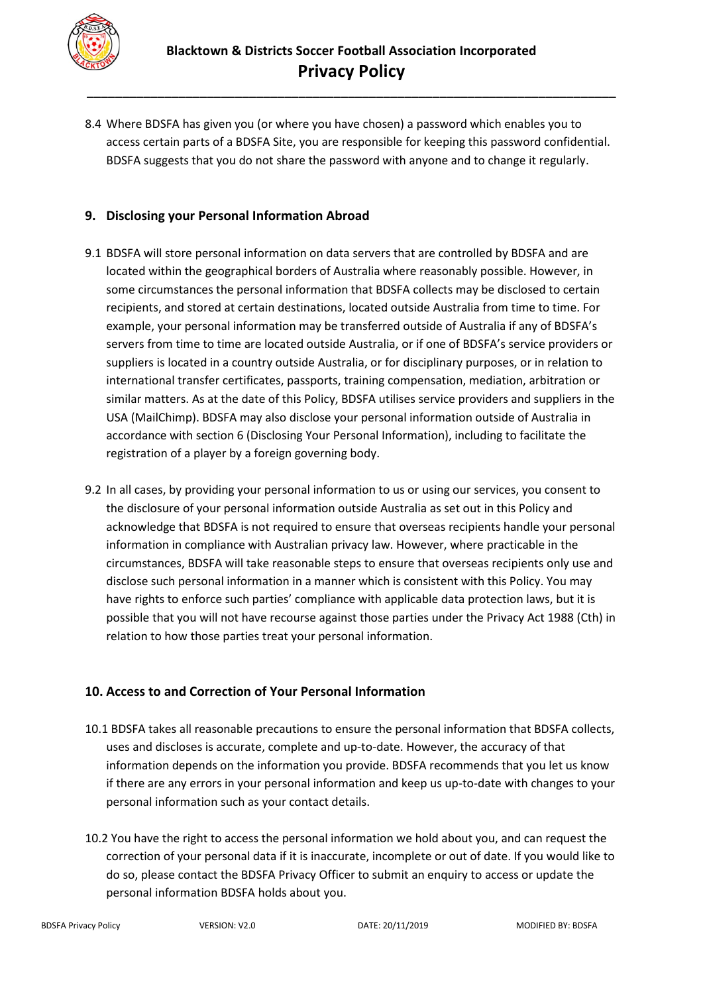

8.4 Where BDSFA has given you (or where you have chosen) a password which enables you to access certain parts of a BDSFA Site, you are responsible for keeping this password confidential. BDSFA suggests that you do not share the password with anyone and to change it regularly.

### **9. Disclosing your Personal Information Abroad**

- 9.1 BDSFA will store personal information on data servers that are controlled by BDSFA and are located within the geographical borders of Australia where reasonably possible. However, in some circumstances the personal information that BDSFA collects may be disclosed to certain recipients, and stored at certain destinations, located outside Australia from time to time. For example, your personal information may be transferred outside of Australia if any of BDSFA's servers from time to time are located outside Australia, or if one of BDSFA's service providers or suppliers is located in a country outside Australia, or for disciplinary purposes, or in relation to international transfer certificates, passports, training compensation, mediation, arbitration or similar matters. As at the date of this Policy, BDSFA utilises service providers and suppliers in the USA (MailChimp). BDSFA may also disclose your personal information outside of Australia in accordance with section 6 (Disclosing Your Personal Information), including to facilitate the registration of a player by a foreign governing body.
- 9.2 In all cases, by providing your personal information to us or using our services, you consent to the disclosure of your personal information outside Australia as set out in this Policy and acknowledge that BDSFA is not required to ensure that overseas recipients handle your personal information in compliance with Australian privacy law. However, where practicable in the circumstances, BDSFA will take reasonable steps to ensure that overseas recipients only use and disclose such personal information in a manner which is consistent with this Policy. You may have rights to enforce such parties' compliance with applicable data protection laws, but it is possible that you will not have recourse against those parties under the Privacy Act 1988 (Cth) in relation to how those parties treat your personal information.

### **10. Access to and Correction of Your Personal Information**

- 10.1 BDSFA takes all reasonable precautions to ensure the personal information that BDSFA collects, uses and discloses is accurate, complete and up-to-date. However, the accuracy of that information depends on the information you provide. BDSFA recommends that you let us know if there are any errors in your personal information and keep us up-to-date with changes to your personal information such as your contact details.
- 10.2 You have the right to access the personal information we hold about you, and can request the correction of your personal data if it is inaccurate, incomplete or out of date. If you would like to do so, please contact the BDSFA Privacy Officer to submit an enquiry to access or update the personal information BDSFA holds about you.